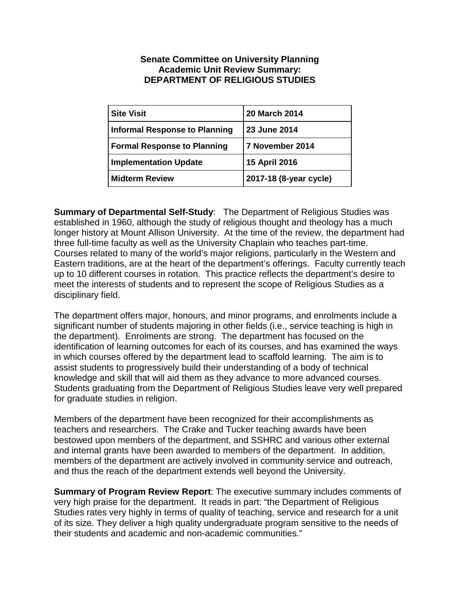## **Senate Committee on University Planning Academic Unit Review Summary: DEPARTMENT OF RELIGIOUS STUDIES**

| <b>Site Visit</b>                    | 20 March 2014          |
|--------------------------------------|------------------------|
| <b>Informal Response to Planning</b> | 23 June 2014           |
| <b>Formal Response to Planning</b>   | 7 November 2014        |
| <b>Implementation Update</b>         | 15 April 2016          |
| <b>Midterm Review</b>                | 2017-18 (8-year cycle) |

**Summary of Departmental Self-Study**: The Department of Religious Studies was established in 1960, although the study of religious thought and theology has a much longer history at Mount Allison University. At the time of the review, the department had three full-time faculty as well as the University Chaplain who teaches part-time. Courses related to many of the world's major religions, particularly in the Western and Eastern traditions, are at the heart of the department's offerings. Faculty currently teach up to 10 different courses in rotation. This practice reflects the department's desire to meet the interests of students and to represent the scope of Religious Studies as a disciplinary field.

The department offers major, honours, and minor programs, and enrolments include a significant number of students majoring in other fields (i.e., service teaching is high in the department). Enrolments are strong. The department has focused on the identification of learning outcomes for each of its courses, and has examined the ways in which courses offered by the department lead to scaffold learning. The aim is to assist students to progressively build their understanding of a body of technical knowledge and skill that will aid them as they advance to more advanced courses. Students graduating from the Department of Religious Studies leave very well prepared for graduate studies in religion.

Members of the department have been recognized for their accomplishments as teachers and researchers. The Crake and Tucker teaching awards have been bestowed upon members of the department, and SSHRC and various other external and internal grants have been awarded to members of the department. In addition, members of the department are actively involved in community service and outreach, and thus the reach of the department extends well beyond the University.

**Summary of Program Review Report**: The executive summary includes comments of very high praise for the department. It reads in part: "the Department of Religious Studies rates very highly in terms of quality of teaching, service and research for a unit of its size. They deliver a high quality undergraduate program sensitive to the needs of their students and academic and non-academic communities."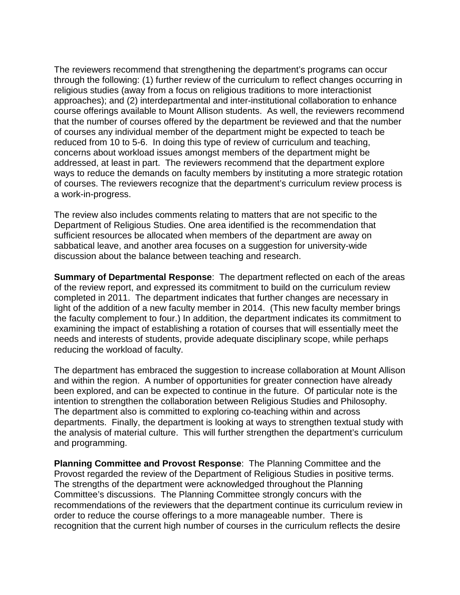The reviewers recommend that strengthening the department's programs can occur through the following: (1) further review of the curriculum to reflect changes occurring in religious studies (away from a focus on religious traditions to more interactionist approaches); and (2) interdepartmental and inter-institutional collaboration to enhance course offerings available to Mount Allison students. As well, the reviewers recommend that the number of courses offered by the department be reviewed and that the number of courses any individual member of the department might be expected to teach be reduced from 10 to 5-6. In doing this type of review of curriculum and teaching, concerns about workload issues amongst members of the department might be addressed, at least in part. The reviewers recommend that the department explore ways to reduce the demands on faculty members by instituting a more strategic rotation of courses. The reviewers recognize that the department's curriculum review process is a work-in-progress.

The review also includes comments relating to matters that are not specific to the Department of Religious Studies. One area identified is the recommendation that sufficient resources be allocated when members of the department are away on sabbatical leave, and another area focuses on a suggestion for university-wide discussion about the balance between teaching and research.

**Summary of Departmental Response**: The department reflected on each of the areas of the review report, and expressed its commitment to build on the curriculum review completed in 2011. The department indicates that further changes are necessary in light of the addition of a new faculty member in 2014. (This new faculty member brings the faculty complement to four.) In addition, the department indicates its commitment to examining the impact of establishing a rotation of courses that will essentially meet the needs and interests of students, provide adequate disciplinary scope, while perhaps reducing the workload of faculty.

The department has embraced the suggestion to increase collaboration at Mount Allison and within the region. A number of opportunities for greater connection have already been explored, and can be expected to continue in the future. Of particular note is the intention to strengthen the collaboration between Religious Studies and Philosophy. The department also is committed to exploring co-teaching within and across departments. Finally, the department is looking at ways to strengthen textual study with the analysis of material culture. This will further strengthen the department's curriculum and programming.

**Planning Committee and Provost Response**: The Planning Committee and the Provost regarded the review of the Department of Religious Studies in positive terms. The strengths of the department were acknowledged throughout the Planning Committee's discussions. The Planning Committee strongly concurs with the recommendations of the reviewers that the department continue its curriculum review in order to reduce the course offerings to a more manageable number. There is recognition that the current high number of courses in the curriculum reflects the desire